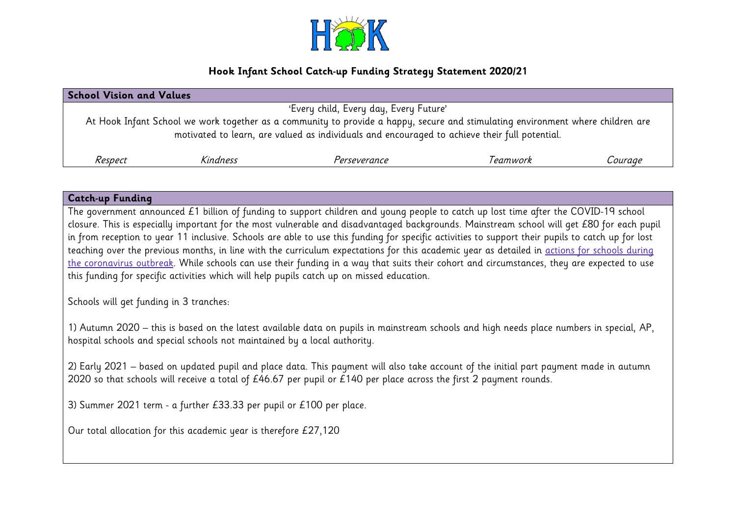

# **Hook Infant School Catch-up Funding Strategy Statement 2020/21**

| <b>School Vision and Values</b>                                                                                                                                                                                                  |          |              |          |         |  |  |
|----------------------------------------------------------------------------------------------------------------------------------------------------------------------------------------------------------------------------------|----------|--------------|----------|---------|--|--|
| 'Every child, Every day, Every Future'                                                                                                                                                                                           |          |              |          |         |  |  |
| At Hook Infant School we work together as a community to provide a happy, secure and stimulating environment where children are<br>motivated to learn, are valued as individuals and encouraged to achieve their full potential. |          |              |          |         |  |  |
| Respect                                                                                                                                                                                                                          | Kindness | Perseverance | Teamwork | Courage |  |  |

| <b>Catch-up Funding</b>                                                                                                                                                                                                                                                                                                                                                                                                                                                                                                                                                                                                                                                                                                                                                                                                           |
|-----------------------------------------------------------------------------------------------------------------------------------------------------------------------------------------------------------------------------------------------------------------------------------------------------------------------------------------------------------------------------------------------------------------------------------------------------------------------------------------------------------------------------------------------------------------------------------------------------------------------------------------------------------------------------------------------------------------------------------------------------------------------------------------------------------------------------------|
| The government announced £1 billion of funding to support children and young people to catch up lost time after the COVID-19 school<br>closure. This is especially important for the most vulnerable and disadvantaged backgrounds. Mainstream school will get £80 for each pupil<br>in from reception to year 11 inclusive. Schools are able to use this funding for specific activities to support their pupils to catch up for lost<br>teaching over the previous months, in line with the curriculum expectations for this academic year as detailed in actions for schools during<br>the coronavirus outbreak. While schools can use their funding in a way that suits their cohort and circumstances, they are expected to use<br>this funding for specific activities which will help pupils catch up on missed education. |
| Schools will get funding in 3 tranches:                                                                                                                                                                                                                                                                                                                                                                                                                                                                                                                                                                                                                                                                                                                                                                                           |
| 1) Autumn 2020 – this is based on the latest available data on pupils in mainstream schools and high needs place numbers in special, AP,<br>hospital schools and special schools not maintained by a local authority.                                                                                                                                                                                                                                                                                                                                                                                                                                                                                                                                                                                                             |
| 2) Early 2021 – based on updated pupil and place data. This payment will also take account of the initial part payment made in autumn<br>2020 so that schools will receive a total of £46.67 per pupil or £140 per place across the first 2 payment rounds.                                                                                                                                                                                                                                                                                                                                                                                                                                                                                                                                                                       |
| 3) Summer 2021 term - a further £33.33 per pupil or £100 per place.                                                                                                                                                                                                                                                                                                                                                                                                                                                                                                                                                                                                                                                                                                                                                               |
| Our total allocation for this academic year is therefore £27,120                                                                                                                                                                                                                                                                                                                                                                                                                                                                                                                                                                                                                                                                                                                                                                  |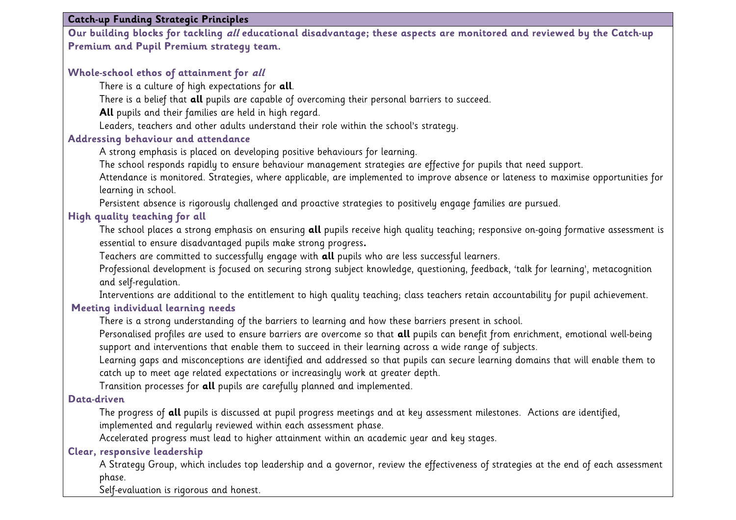#### **Catch-up Funding Strategic Principles**

**Our building blocks for tackling all educational disadvantage; these aspects are monitored and reviewed by the Catch-up Premium and Pupil Premium strategy team.**

### **Whole-school ethos of attainment for all**

There is a culture of high expectations for **all**.

There is a belief that **all** pupils are capable of overcoming their personal barriers to succeed.

**All** pupils and their families are held in high regard.

Leaders, teachers and other adults understand their role within the school's strategy.

#### **Addressing behaviour and attendance**

A strong emphasis is placed on developing positive behaviours for learning.

The school responds rapidly to ensure behaviour management strategies are effective for pupils that need support.

Attendance is monitored. Strategies, where applicable, are implemented to improve absence or lateness to maximise opportunities for learning in school.

Persistent absence is rigorously challenged and proactive strategies to positively engage families are pursued.

## **High quality teaching for all**

The school places a strong emphasis on ensuring **all** pupils receive high quality teaching; responsive on-going formative assessment is essential to ensure disadvantaged pupils make strong progress**.** 

Teachers are committed to successfully engage with **all** pupils who are less successful learners.

Professional development is focused on securing strong subject knowledge, questioning, feedback, 'talk for learning', metacognition and self-regulation.

Interventions are additional to the entitlement to high quality teaching; class teachers retain accountability for pupil achievement.

#### **Meeting individual learning needs**

There is a strong understanding of the barriers to learning and how these barriers present in school.

Personalised profiles are used to ensure barriers are overcome so that **all** pupils can benefit from enrichment, emotional well-being support and interventions that enable them to succeed in their learning across a wide range of subjects.

Learning gaps and misconceptions are identified and addressed so that pupils can secure learning domains that will enable them to catch up to meet age related expectations or increasingly work at greater depth.

Transition processes for **all** pupils are carefully planned and implemented.

#### **Data-driven**

The progress of **all** pupils is discussed at pupil progress meetings and at key assessment milestones. Actions are identified, implemented and regularly reviewed within each assessment phase.

Accelerated progress must lead to higher attainment within an academic year and key stages.

### **Clear, responsive leadership**

A Strategy Group, which includes top leadership and a governor, review the effectiveness of strategies at the end of each assessment phase.

Self-evaluation is rigorous and honest.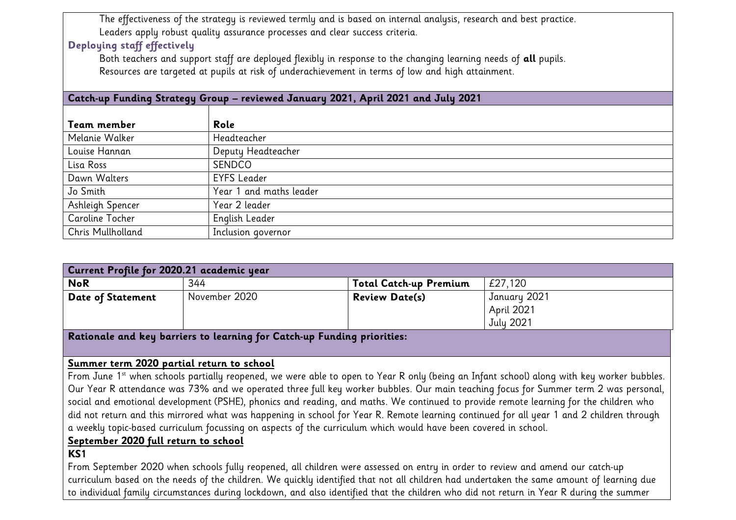The effectiveness of the strategy is reviewed termly and is based on internal analysis, research and best practice. Leaders apply robust quality assurance processes and clear success criteria.

# **Deploying staff effectively**

Both teachers and support staff are deployed flexibly in response to the changing learning needs of **all** pupils. Resources are targeted at pupils at risk of underachievement in terms of low and high attainment.

### **Catch-up Funding Strategy Group – reviewed January 2021, April 2021 and July 2021**

| Team member       | Role                    |
|-------------------|-------------------------|
| Melanie Walker    | Headteacher             |
| Louise Hannan     | Deputy Headteacher      |
| Lisa Ross         | SENDCO                  |
| Dawn Walters      | <b>EYFS Leader</b>      |
| Jo Smith          | Year 1 and maths leader |
| Ashleigh Spencer  | Year 2 leader           |
| Caroline Tocher   | English Leader          |
| Chris Mullholland | Inclusion governor      |

| Current Profile for 2020.21 academic year                               |               |                               |                                         |  |  |  |
|-------------------------------------------------------------------------|---------------|-------------------------------|-----------------------------------------|--|--|--|
| <b>NoR</b>                                                              | 344           | <b>Total Catch-up Premium</b> | £27,120                                 |  |  |  |
| <b>Date of Statement</b>                                                | November 2020 | <b>Review Date(s)</b>         | January 2021<br>April 2021<br>July 2021 |  |  |  |
| Rationale and key barriers to learning for Catch-up Funding priorities: |               |                               |                                         |  |  |  |

# **Summer term 2020 partial return to school**

From June 1<sup>st</sup> when schools partially reopened, we were able to open to Year R only (being an Infant school) along with key worker bubbles. Our Year R attendance was 73% and we operated three full key worker bubbles. Our main teaching focus for Summer term 2 was personal, social and emotional development (PSHE), phonics and reading, and maths. We continued to provide remote learning for the children who did not return and this mirrored what was happening in school for Year R. Remote learning continued for all year 1 and 2 children through a weekly topic-based curriculum focussing on aspects of the curriculum which would have been covered in school.

### **September 2020 full return to school**

# **KS1**

From September 2020 when schools fully reopened, all children were assessed on entry in order to review and amend our catch-up curriculum based on the needs of the children. We quickly identified that not all children had undertaken the same amount of learning due to individual family circumstances during lockdown, and also identified that the children who did not return in Year R during the summer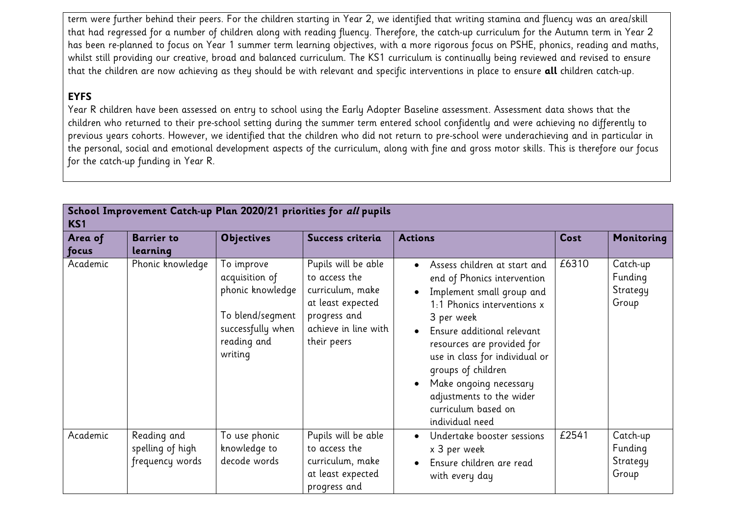term were further behind their peers. For the children starting in Year 2, we identified that writing stamina and fluency was an area/skill that had regressed for a number of children along with reading fluency. Therefore, the catch-up curriculum for the Autumn term in Year 2 has been re-planned to focus on Year 1 summer term learning objectives, with a more rigorous focus on PSHE, phonics, reading and maths, whilst still providing our creative, broad and balanced curriculum. The KS1 curriculum is continually being reviewed and revised to ensure that the children are now achieving as they should be with relevant and specific interventions in place to ensure **all** children catch-up.

# **EYFS**

Year R children have been assessed on entry to school using the Early Adopter Baseline assessment. Assessment data shows that the children who returned to their pre-school setting during the summer term entered school confidently and were achieving no differently to previous years cohorts. However, we identified that the children who did not return to pre-school were underachieving and in particular in the personal, social and emotional development aspects of the curriculum, along with fine and gross motor skills. This is therefore our focus for the catch-up funding in Year R.

| School Improvement Catch-up Plan 2020/21 priorities for all pupils<br>KS <sub>1</sub> |                                                    |                                                                                                                     |                                                                                                                                      |                                                                                                                                                                                                                                                                                                                                                           |       |                                          |
|---------------------------------------------------------------------------------------|----------------------------------------------------|---------------------------------------------------------------------------------------------------------------------|--------------------------------------------------------------------------------------------------------------------------------------|-----------------------------------------------------------------------------------------------------------------------------------------------------------------------------------------------------------------------------------------------------------------------------------------------------------------------------------------------------------|-------|------------------------------------------|
| Area of                                                                               | <b>Barrier to</b>                                  | <b>Objectives</b>                                                                                                   | Success criteria                                                                                                                     | <b>Actions</b>                                                                                                                                                                                                                                                                                                                                            | Cost  | Monitoring                               |
| focus                                                                                 | learning                                           |                                                                                                                     |                                                                                                                                      |                                                                                                                                                                                                                                                                                                                                                           |       |                                          |
| Academic                                                                              | Phonic knowledge                                   | To improve<br>acquisition of<br>phonic knowledge<br>To blend/segment<br>successfully when<br>reading and<br>writing | Pupils will be able<br>to access the<br>curriculum, make<br>at least expected<br>progress and<br>achieve in line with<br>their peers | Assess children at start and<br>end of Phonics intervention<br>Implement small group and<br>1:1 Phonics interventions x<br>3 per week<br>Ensure additional relevant<br>resources are provided for<br>use in class for individual or<br>groups of children<br>Make ongoing necessary<br>adjustments to the wider<br>curriculum based on<br>individual need | £6310 | Catch-up<br>Funding<br>Strategy<br>Group |
| Academic                                                                              | Reading and<br>spelling of high<br>frequency words | To use phonic<br>knowledge to<br>decode words                                                                       | Pupils will be able<br>to access the<br>curriculum, make<br>at least expected<br>progress and                                        | Undertake booster sessions<br>x 3 per week<br>Ensure children are read<br>with every day                                                                                                                                                                                                                                                                  | £2541 | Catch-up<br>Funding<br>Strategy<br>Group |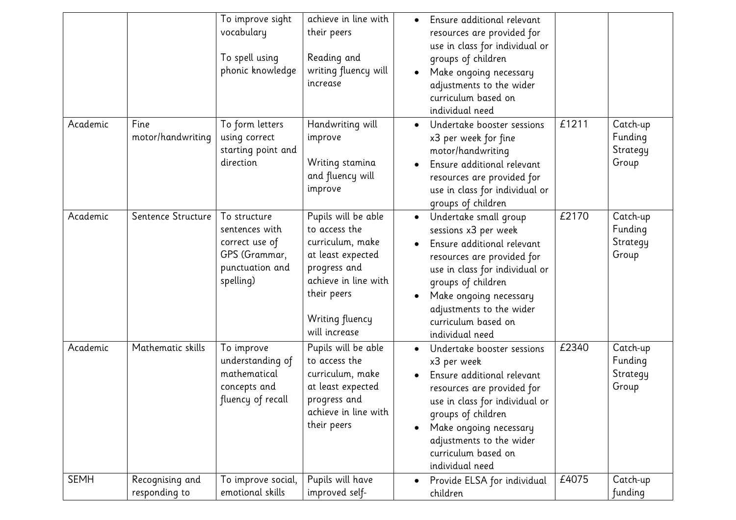|             |                                  | To improve sight<br>vocabulary<br>To spell using<br>phonic knowledge                              | achieve in line with<br>their peers<br>Reading and<br>writing fluency will<br>increase                                                                                   | Ensure additional relevant<br>resources are provided for<br>use in class for individual or<br>groups of children<br>Make ongoing necessary<br>adjustments to the wider<br>curriculum based on<br>individual need                                                               |       |                                          |
|-------------|----------------------------------|---------------------------------------------------------------------------------------------------|--------------------------------------------------------------------------------------------------------------------------------------------------------------------------|--------------------------------------------------------------------------------------------------------------------------------------------------------------------------------------------------------------------------------------------------------------------------------|-------|------------------------------------------|
| Academic    | Fine<br>motor/handwriting        | To form letters<br>using correct<br>starting point and<br>direction                               | Handwriting will<br>improve<br>Writing stamina<br>and fluency will<br>improve                                                                                            | Undertake booster sessions<br>x3 per week for fine<br>motor/handwriting<br>Ensure additional relevant<br>resources are provided for<br>use in class for individual or<br>groups of children                                                                                    | £1211 | Catch-up<br>Funding<br>Strategy<br>Group |
| Academic    | Sentence Structure               | To structure<br>sentences with<br>correct use of<br>GPS (Grammar,<br>punctuation and<br>spelling) | Pupils will be able<br>to access the<br>curriculum, make<br>at least expected<br>progress and<br>achieve in line with<br>their peers<br>Writing fluency<br>will increase | Undertake small group<br>$\bullet$<br>sessions x3 per week<br>Ensure additional relevant<br>resources are provided for<br>use in class for individual or<br>groups of children<br>Make ongoing necessary<br>adjustments to the wider<br>curriculum based on<br>individual need | £2170 | Catch-up<br>Funding<br>Strategy<br>Group |
| Academic    | Mathematic skills                | To improve<br>understanding of<br>mathematical<br>concepts and<br>fluency of recall               | Pupils will be able<br>to access the<br>curriculum, make<br>at least expected<br>progress and<br>achieve in line with<br>their peers                                     | Undertake booster sessions<br>x3 per week<br>Ensure additional relevant<br>resources are provided for<br>use in class for individual or<br>groups of children<br>Make ongoing necessary<br>adjustments to the wider<br>curriculum based on<br>individual need                  | £2340 | Catch-up<br>Funding<br>Strategy<br>Group |
| <b>SEMH</b> | Recognising and<br>responding to | To improve social,<br>emotional skills                                                            | Pupils will have<br>improved self-                                                                                                                                       | Provide ELSA for individual<br>children                                                                                                                                                                                                                                        | £4075 | Catch-up<br>funding                      |